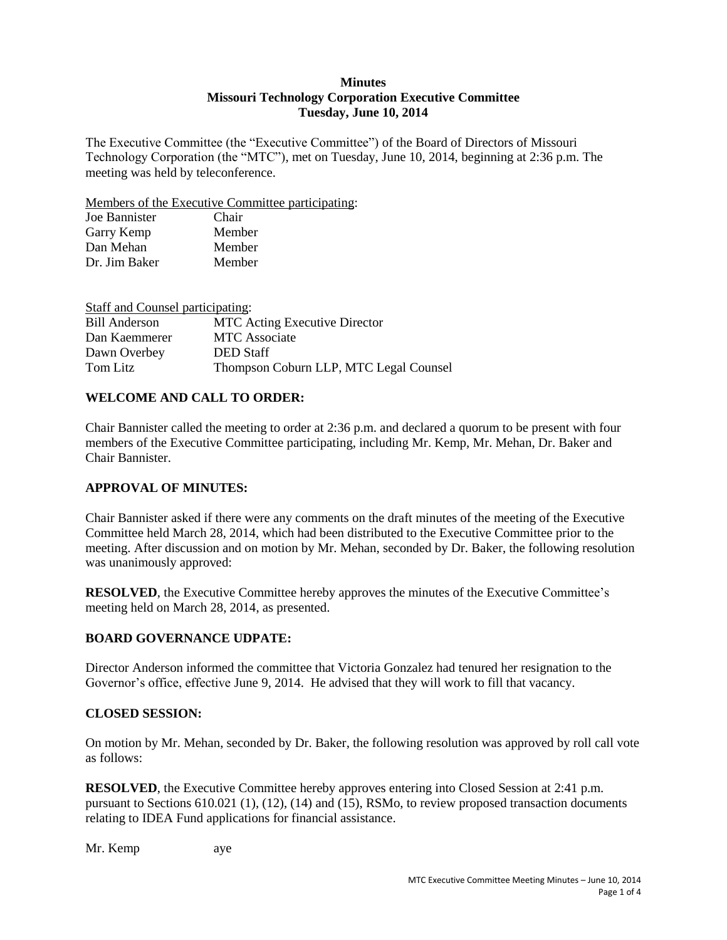#### **Minutes Missouri Technology Corporation Executive Committee Tuesday, June 10, 2014**

The Executive Committee (the "Executive Committee") of the Board of Directors of Missouri Technology Corporation (the "MTC"), met on Tuesday, June 10, 2014, beginning at 2:36 p.m. The meeting was held by teleconference.

Members of the Executive Committee participating:

| Joe Bannister | Chair  |
|---------------|--------|
| Garry Kemp    | Member |
| Dan Mehan     | Member |
| Dr. Jim Baker | Member |

| Staff and Counsel participating:       |
|----------------------------------------|
| <b>MTC</b> Acting Executive Director   |
| <b>MTC</b> Associate                   |
| <b>DED</b> Staff                       |
| Thompson Coburn LLP, MTC Legal Counsel |
|                                        |

# **WELCOME AND CALL TO ORDER:**

Chair Bannister called the meeting to order at 2:36 p.m. and declared a quorum to be present with four members of the Executive Committee participating, including Mr. Kemp, Mr. Mehan, Dr. Baker and Chair Bannister.

# **APPROVAL OF MINUTES:**

Chair Bannister asked if there were any comments on the draft minutes of the meeting of the Executive Committee held March 28, 2014, which had been distributed to the Executive Committee prior to the meeting. After discussion and on motion by Mr. Mehan, seconded by Dr. Baker, the following resolution was unanimously approved:

**RESOLVED**, the Executive Committee hereby approves the minutes of the Executive Committee's meeting held on March 28, 2014, as presented.

# **BOARD GOVERNANCE UDPATE:**

Director Anderson informed the committee that Victoria Gonzalez had tenured her resignation to the Governor's office, effective June 9, 2014. He advised that they will work to fill that vacancy.

# **CLOSED SESSION:**

On motion by Mr. Mehan, seconded by Dr. Baker, the following resolution was approved by roll call vote as follows:

**RESOLVED**, the Executive Committee hereby approves entering into Closed Session at 2:41 p.m. pursuant to Sections 610.021 (1), (12), (14) and (15), RSMo, to review proposed transaction documents relating to IDEA Fund applications for financial assistance.

Mr. Kemp aye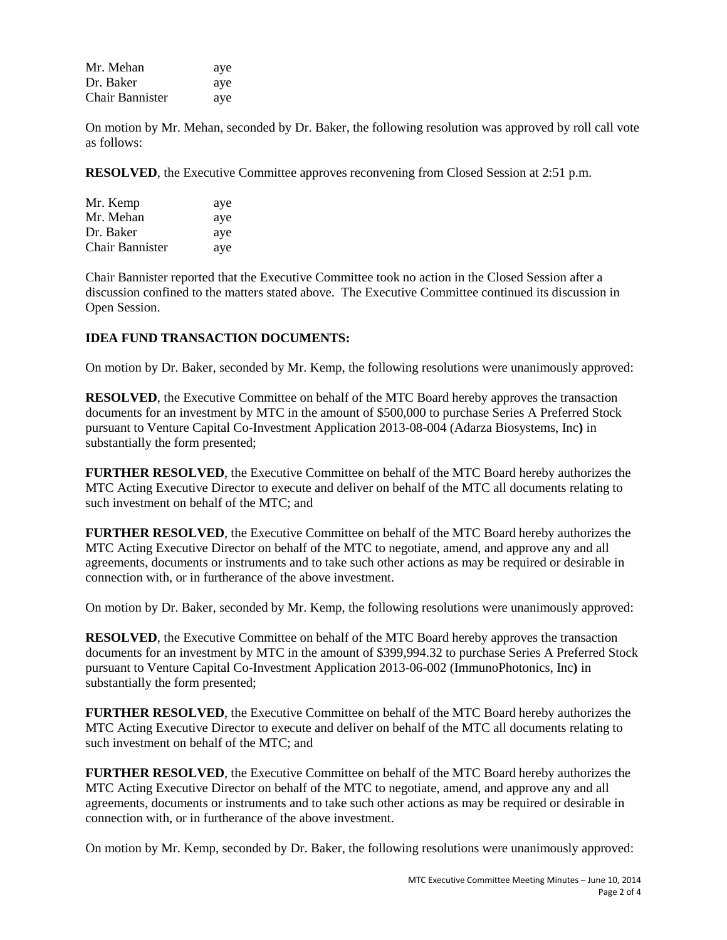| Mr. Mehan              | aye |
|------------------------|-----|
| Dr. Baker              | aye |
| <b>Chair Bannister</b> | aye |

On motion by Mr. Mehan, seconded by Dr. Baker, the following resolution was approved by roll call vote as follows:

**RESOLVED**, the Executive Committee approves reconvening from Closed Session at 2:51 p.m.

| Mr. Kemp        | aye |
|-----------------|-----|
| Mr. Mehan       | aye |
| Dr. Baker       | aye |
| Chair Bannister | aye |

Chair Bannister reported that the Executive Committee took no action in the Closed Session after a discussion confined to the matters stated above. The Executive Committee continued its discussion in Open Session.

#### **IDEA FUND TRANSACTION DOCUMENTS:**

On motion by Dr. Baker, seconded by Mr. Kemp, the following resolutions were unanimously approved:

**RESOLVED**, the Executive Committee on behalf of the MTC Board hereby approves the transaction documents for an investment by MTC in the amount of \$500,000 to purchase Series A Preferred Stock pursuant to Venture Capital Co-Investment Application 2013-08-004 (Adarza Biosystems, Inc**)** in substantially the form presented;

**FURTHER RESOLVED**, the Executive Committee on behalf of the MTC Board hereby authorizes the MTC Acting Executive Director to execute and deliver on behalf of the MTC all documents relating to such investment on behalf of the MTC; and

**FURTHER RESOLVED**, the Executive Committee on behalf of the MTC Board hereby authorizes the MTC Acting Executive Director on behalf of the MTC to negotiate, amend, and approve any and all agreements, documents or instruments and to take such other actions as may be required or desirable in connection with, or in furtherance of the above investment.

On motion by Dr. Baker, seconded by Mr. Kemp, the following resolutions were unanimously approved:

**RESOLVED**, the Executive Committee on behalf of the MTC Board hereby approves the transaction documents for an investment by MTC in the amount of \$399,994.32 to purchase Series A Preferred Stock pursuant to Venture Capital Co-Investment Application 2013-06-002 (ImmunoPhotonics, Inc**)** in substantially the form presented;

**FURTHER RESOLVED**, the Executive Committee on behalf of the MTC Board hereby authorizes the MTC Acting Executive Director to execute and deliver on behalf of the MTC all documents relating to such investment on behalf of the MTC; and

**FURTHER RESOLVED**, the Executive Committee on behalf of the MTC Board hereby authorizes the MTC Acting Executive Director on behalf of the MTC to negotiate, amend, and approve any and all agreements, documents or instruments and to take such other actions as may be required or desirable in connection with, or in furtherance of the above investment.

On motion by Mr. Kemp, seconded by Dr. Baker, the following resolutions were unanimously approved: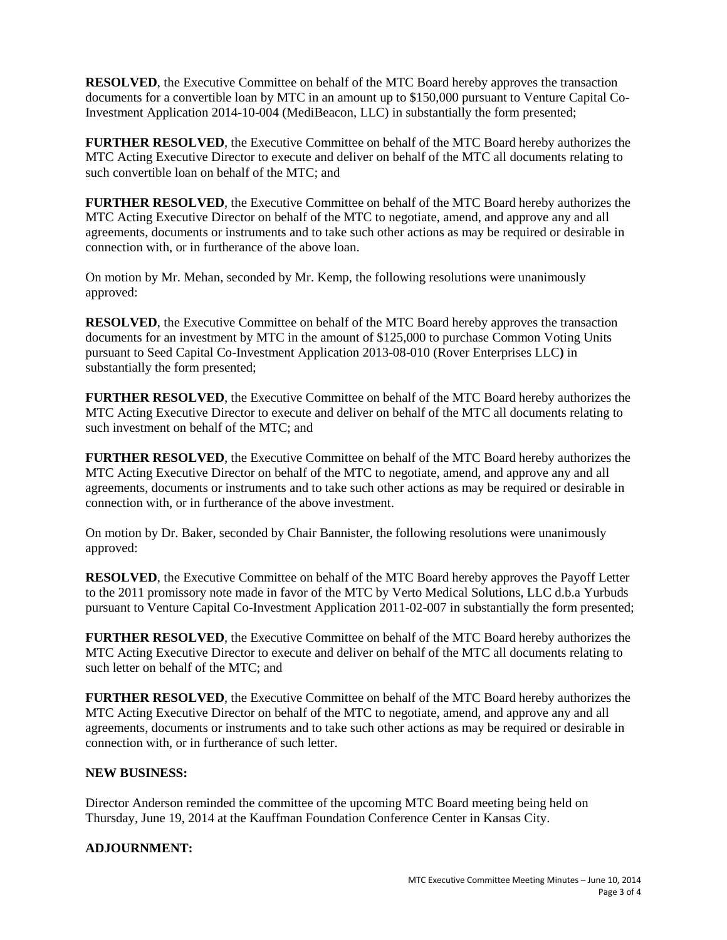**RESOLVED**, the Executive Committee on behalf of the MTC Board hereby approves the transaction documents for a convertible loan by MTC in an amount up to \$150,000 pursuant to Venture Capital Co-Investment Application 2014-10-004 (MediBeacon, LLC) in substantially the form presented;

**FURTHER RESOLVED**, the Executive Committee on behalf of the MTC Board hereby authorizes the MTC Acting Executive Director to execute and deliver on behalf of the MTC all documents relating to such convertible loan on behalf of the MTC; and

**FURTHER RESOLVED**, the Executive Committee on behalf of the MTC Board hereby authorizes the MTC Acting Executive Director on behalf of the MTC to negotiate, amend, and approve any and all agreements, documents or instruments and to take such other actions as may be required or desirable in connection with, or in furtherance of the above loan.

On motion by Mr. Mehan, seconded by Mr. Kemp, the following resolutions were unanimously approved:

**RESOLVED**, the Executive Committee on behalf of the MTC Board hereby approves the transaction documents for an investment by MTC in the amount of \$125,000 to purchase Common Voting Units pursuant to Seed Capital Co-Investment Application 2013-08-010 (Rover Enterprises LLC**)** in substantially the form presented;

**FURTHER RESOLVED**, the Executive Committee on behalf of the MTC Board hereby authorizes the MTC Acting Executive Director to execute and deliver on behalf of the MTC all documents relating to such investment on behalf of the MTC; and

**FURTHER RESOLVED**, the Executive Committee on behalf of the MTC Board hereby authorizes the MTC Acting Executive Director on behalf of the MTC to negotiate, amend, and approve any and all agreements, documents or instruments and to take such other actions as may be required or desirable in connection with, or in furtherance of the above investment.

On motion by Dr. Baker, seconded by Chair Bannister, the following resolutions were unanimously approved:

**RESOLVED**, the Executive Committee on behalf of the MTC Board hereby approves the Payoff Letter to the 2011 promissory note made in favor of the MTC by Verto Medical Solutions, LLC d.b.a Yurbuds pursuant to Venture Capital Co-Investment Application 2011-02-007 in substantially the form presented;

**FURTHER RESOLVED**, the Executive Committee on behalf of the MTC Board hereby authorizes the MTC Acting Executive Director to execute and deliver on behalf of the MTC all documents relating to such letter on behalf of the MTC; and

**FURTHER RESOLVED**, the Executive Committee on behalf of the MTC Board hereby authorizes the MTC Acting Executive Director on behalf of the MTC to negotiate, amend, and approve any and all agreements, documents or instruments and to take such other actions as may be required or desirable in connection with, or in furtherance of such letter.

#### **NEW BUSINESS:**

Director Anderson reminded the committee of the upcoming MTC Board meeting being held on Thursday, June 19, 2014 at the Kauffman Foundation Conference Center in Kansas City.

#### **ADJOURNMENT:**